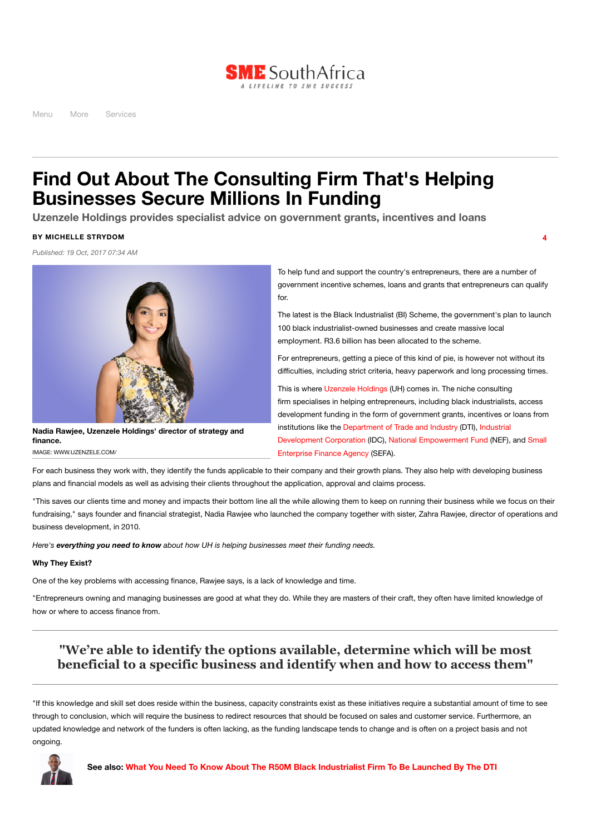

Menu More Services

# **Find Out About The Consulting Firm That's Helping Businesses Secure Millions In Funding**

**Uzenzele Holdings provides specialist advice on government grants, incentives and loans**

## **BY MICHELLE STRYDOM**

*Published: 19 Oct, 2017 07:34 AM*



**Nadia Rawjee, Uzenzele Holdings' director of strategy and finance.**

IMAGE: WWW.UZENZELE.COM/

To help fund and support the country's entrepreneurs, there are a number of government incentive schemes, loans and grants that entrepreneurs can qualify for.

**4**

The latest is the Black Industrialist (BI) Scheme, the government's plan to launch 100 black industrialist-owned businesses and create massive local employment. R3.6 billion has been allocated to the scheme.

For entrepreneurs, getting a piece of this kind of pie, is however not without its difficulties, including strict criteria, heavy paperwork and long processing times.

This is where [Uzenzele](http://www.uzenzele.com/) Holdings (UH) comes in. The niche consulting firm specialises in helping entrepreneurs, including black industrialists, access development funding in the form of government grants, incentives or loans from [institutions like](https://www.idc.co.za/) the [Department](http://www.thedti.gov.za/) of Trade and Industry (DTI), Industrial Development Corporation (IDC), National [Empowerment](http://www.nefcorp.co.za/) Fund (NEF), and Small Enterprise Finance Agency (SEFA).

For each business they work with, they identify the funds applicable to their company and their growth plans. They also help with developing business plans and financial models as well as advising their clients throughout the application, approval and claims process.

"This saves our clients time and money and impacts their bottom line all the while allowing them to keep on running their business while we focus on their fundraising," says founder and financial strategist, Nadia Rawjee who launched the company together with sister, Zahra Rawjee, director of operations and business development, in 2010.

*Here's everything you need to know about how UH is helping businesses meet their funding needs.*

## **Why They Exist?**

One of the key problems with accessing finance, Rawjee says, is a lack of knowledge and time.

"Entrepreneurs owning and managing businesses are good at what they do. While they are masters of their craft, they often have limited knowledge of how or where to access finance from.

# **"We're able to identify the options available, determine which will be most beneficial to a specific business and identify when and how to access them"**

"If this knowledge and skill set does reside within the business, capacity constraints exist as these initiatives require a substantial amount of time to see through to conclusion, which will require the business to redirect resources that should be focused on sales and customer service. Furthermore, an updated knowledge and network of the funders is often lacking, as the funding landscape tends to change and is often on a project basis and not ongoing.